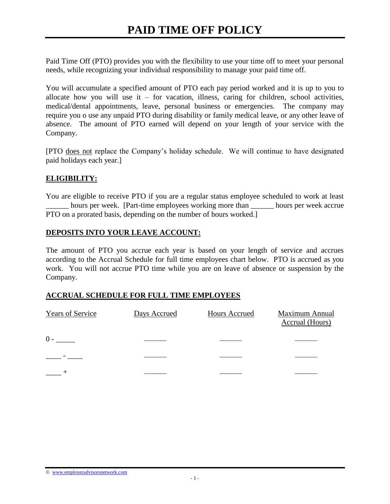Paid Time Off (PTO) provides you with the flexibility to use your time off to meet your personal needs, while recognizing your individual responsibility to manage your paid time off.

You will accumulate a specified amount of PTO each pay period worked and it is up to you to allocate how you will use it – for vacation, illness, caring for children, school activities, medical/dental appointments, leave, personal business or emergencies. The company may require you o use any unpaid PTO during disability or family medical leave, or any other leave of absence. The amount of PTO earned will depend on your length of your service with the Company.

[PTO does not replace the Company's holiday schedule. We will continue to have designated paid holidays each year.]

#### **ELIGIBILITY:**

You are eligible to receive PTO if you are a regular status employee scheduled to work at least hours per week. [Part-time employees working more than hours per week accrue PTO on a prorated basis, depending on the number of hours worked.]

#### **DEPOSITS INTO YOUR LEAVE ACCOUNT:**

The amount of PTO you accrue each year is based on your length of service and accrues according to the Accrual Schedule for full time employees chart below. PTO is accrued as you work. You will not accrue PTO time while you are on leave of absence or suspension by the Company.

#### **ACCRUAL SCHEDULE FOR FULL TIME EMPLOYEES**

| <b>Years of Service</b> | Days Accrued | Hours Accrued | <b>Maximum Annual</b><br>Accrual (Hours) |
|-------------------------|--------------|---------------|------------------------------------------|
| $0 -$                   |              |               |                                          |
|                         |              |               |                                          |
|                         |              |               |                                          |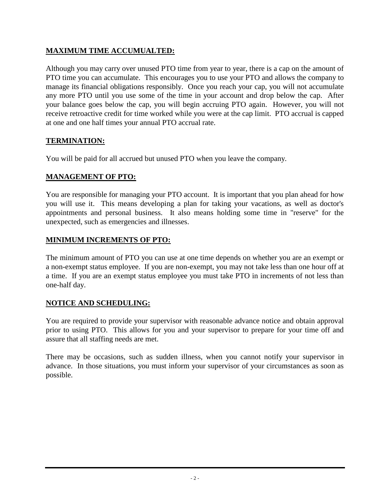# **MAXIMUM TIME ACCUMUALTED:**

Although you may carry over unused PTO time from year to year, there is a cap on the amount of PTO time you can accumulate. This encourages you to use your PTO and allows the company to manage its financial obligations responsibly. Once you reach your cap, you will not accumulate any more PTO until you use some of the time in your account and drop below the cap. After your balance goes below the cap, you will begin accruing PTO again. However, you will not receive retroactive credit for time worked while you were at the cap limit. PTO accrual is capped at one and one half times your annual PTO accrual rate.

# **TERMINATION:**

You will be paid for all accrued but unused PTO when you leave the company.

## **MANAGEMENT OF PTO:**

You are responsible for managing your PTO account. It is important that you plan ahead for how you will use it. This means developing a plan for taking your vacations, as well as doctor's appointments and personal business. It also means holding some time in "reserve" for the unexpected, such as emergencies and illnesses.

## **MINIMUM INCREMENTS OF PTO:**

The minimum amount of PTO you can use at one time depends on whether you are an exempt or a non-exempt status employee. If you are non-exempt, you may not take less than one hour off at a time. If you are an exempt status employee you must take PTO in increments of not less than one-half day.

## **NOTICE AND SCHEDULING:**

You are required to provide your supervisor with reasonable advance notice and obtain approval prior to using PTO. This allows for you and your supervisor to prepare for your time off and assure that all staffing needs are met.

There may be occasions, such as sudden illness, when you cannot notify your supervisor in advance. In those situations, you must inform your supervisor of your circumstances as soon as possible.